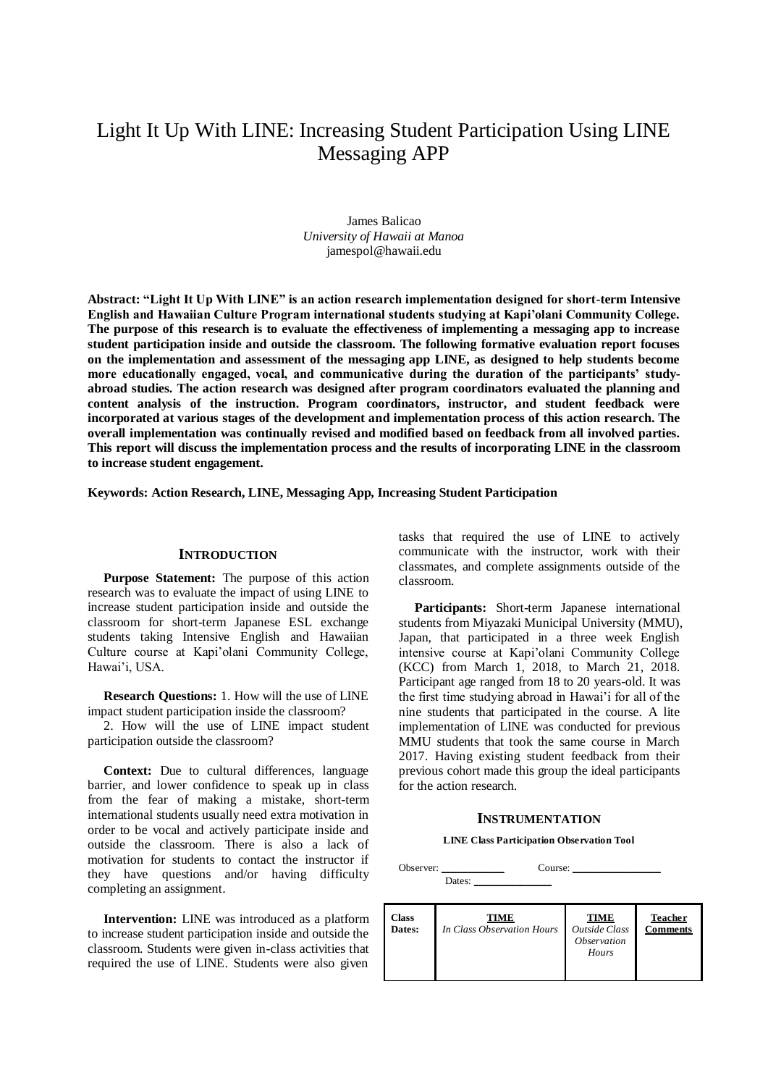# Light It Up With LINE: Increasing Student Participation Using LINE Messaging APP

James Balicao *University of Hawaii at Manoa*  jamespol@hawaii.edu

**Abstract: "Light It Up With LINE" is an action research implementation designed for short-term Intensive English and Hawaiian Culture Program international students studying at Kapi'olani Community College. The purpose of this research is to evaluate the effectiveness of implementing a messaging app to increase student participation inside and outside the classroom. The following formative evaluation report focuses on the implementation and assessment of the messaging app LINE, as designed to help students become more educationally engaged, vocal, and communicative during the duration of the participants' studyabroad studies. The action research was designed after program coordinators evaluated the planning and content analysis of the instruction. Program coordinators, instructor, and student feedback were incorporated at various stages of the development and implementation process of this action research. The overall implementation was continually revised and modified based on feedback from all involved parties. This report will discuss the implementation process and the results of incorporating LINE in the classroom to increase student engagement.** 

**Keywords: Action Research, LINE, Messaging App, Increasing Student Participation**

## **INTRODUCTION**

**Purpose Statement:** The purpose of this action research was to evaluate the impact of using LINE to increase student participation inside and outside the classroom for short-term Japanese ESL exchange students taking Intensive English and Hawaiian Culture course at Kapi'olani Community College, Hawai'i, USA.

**Research Questions:** 1. How will the use of LINE impact student participation inside the classroom?

2. How will the use of LINE impact student participation outside the classroom?

**Context:** Due to cultural differences, language barrier, and lower confidence to speak up in class from the fear of making a mistake, short-term international students usually need extra motivation in order to be vocal and actively participate inside and outside the classroom. There is also a lack of motivation for students to contact the instructor if they have questions and/or having difficulty completing an assignment.

**Intervention:** LINE was introduced as a platform to increase student participation inside and outside the classroom. Students were given in-class activities that required the use of LINE. Students were also given

tasks that required the use of LINE to actively communicate with the instructor, work with their classmates, and complete assignments outside of the classroom.

**Participants:** Short-term Japanese international students from Miyazaki Municipal University (MMU), Japan, that participated in a three week English intensive course at Kapi'olani Community College (KCC) from March 1, 2018, to March 21, 2018. Participant age ranged from 18 to 20 years-old. It was the first time studying abroad in Hawai'i for all of the nine students that participated in the course. A lite implementation of LINE was conducted for previous MMU students that took the same course in March 2017. Having existing student feedback from their previous cohort made this group the ideal participants for the action research.

#### **INSTRUMENTATION**

#### **LINE Class Participation Observation Tool**

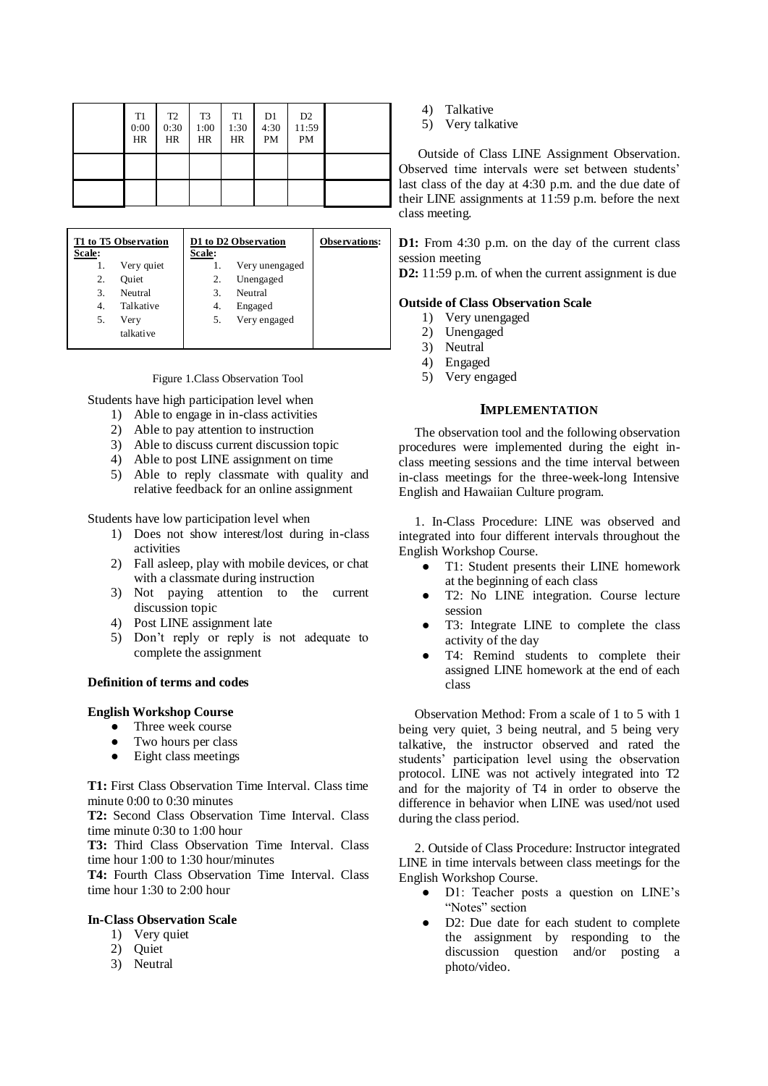| T <sub>1</sub><br>0:00<br>HR | T <sub>2</sub><br>0:30<br>HR | T <sub>3</sub><br>1:00<br><b>HR</b> | T1<br>1:30<br>HR | D1<br>4:30<br>PM | D <sub>2</sub><br>11:59<br>PM |  |
|------------------------------|------------------------------|-------------------------------------|------------------|------------------|-------------------------------|--|
|                              |                              |                                     |                  |                  |                               |  |
|                              |                              |                                     |                  |                  |                               |  |

| T1 to T5 Observation |            |        | D1 to D2 Observation | <b>Observations:</b> |
|----------------------|------------|--------|----------------------|----------------------|
| Scale:               |            | Scale: |                      |                      |
| 1.                   | Very quiet |        | Very unengaged       |                      |
| 2.                   | Ouiet      | 2.     | Unengaged            |                      |
| 3.                   | Neutral    | 3.     | Neutral              |                      |
| 4.                   | Talkative  | 4.     | Engaged              |                      |
| 5.                   | Very       | 5.     | Very engaged         |                      |
|                      | talkative  |        |                      |                      |

Figure 1.Class Observation Tool

Students have high participation level when

- 1) Able to engage in in-class activities
- 2) Able to pay attention to instruction
- 3) Able to discuss current discussion topic
- 4) Able to post LINE assignment on time
- 5) Able to reply classmate with quality and relative feedback for an online assignment

Students have low participation level when

- 1) Does not show interest/lost during in-class activities
- 2) Fall asleep, play with mobile devices, or chat with a classmate during instruction
- 3) Not paying attention to the current discussion topic
- 4) Post LINE assignment late
- 5) Don't reply or reply is not adequate to complete the assignment

### **Definition of terms and codes**

#### **English Workshop Course**

- Three week course
- Two hours per class
- Eight class meetings

**T1:** First Class Observation Time Interval. Class time minute 0:00 to 0:30 minutes

**T2:** Second Class Observation Time Interval. Class time minute 0:30 to 1:00 hour

**T3:** Third Class Observation Time Interval. Class time hour 1:00 to 1:30 hour/minutes

**T4:** Fourth Class Observation Time Interval. Class time hour 1:30 to 2:00 hour

#### **In-Class Observation Scale**

- 1) Very quiet
- 2) Quiet
- 3) Neutral
- 4) Talkative
- 5) Very talkative

Outside of Class LINE Assignment Observation. Observed time intervals were set between students' last class of the day at 4:30 p.m. and the due date of their LINE assignments at 11:59 p.m. before the next class meeting.

**D1:** From 4:30 p.m. on the day of the current class session meeting

**D2:** 11:59 p.m. of when the current assignment is due

#### **Outside of Class Observation Scale**

- 1) Very unengaged
- 2) Unengaged
- 3) Neutral
- 4) Engaged
- 5) Very engaged

## **IMPLEMENTATION**

The observation tool and the following observation procedures were implemented during the eight inclass meeting sessions and the time interval between in-class meetings for the three-week-long Intensive English and Hawaiian Culture program.

1. In-Class Procedure: LINE was observed and integrated into four different intervals throughout the English Workshop Course.

- T1: Student presents their LINE homework at the beginning of each class
- T2: No LINE integration. Course lecture session
- T3: Integrate LINE to complete the class activity of the day
- T4: Remind students to complete their assigned LINE homework at the end of each class

Observation Method: From a scale of 1 to 5 with 1 being very quiet, 3 being neutral, and 5 being very talkative, the instructor observed and rated the students' participation level using the observation protocol. LINE was not actively integrated into T2 and for the majority of T4 in order to observe the difference in behavior when LINE was used/not used during the class period.

2. Outside of Class Procedure: Instructor integrated LINE in time intervals between class meetings for the English Workshop Course.

- D1: Teacher posts a question on LINE's "Notes" section
- D2: Due date for each student to complete the assignment by responding to the discussion question and/or posting a photo/video.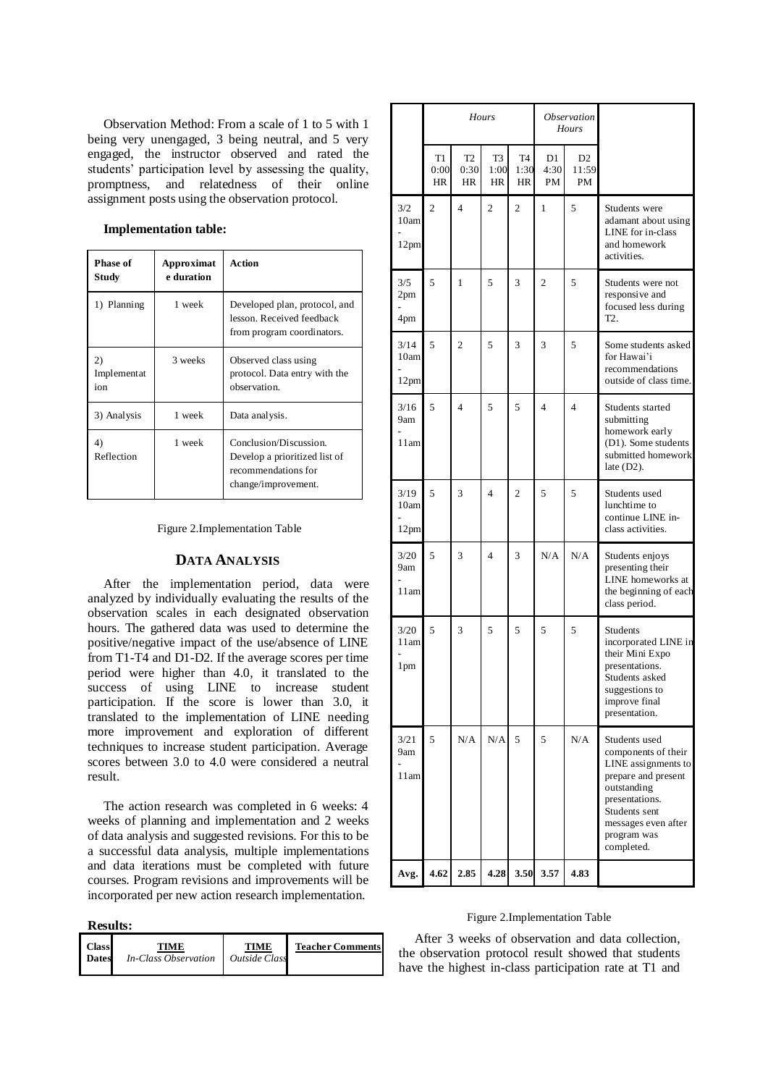Observation Method: From a scale of 1 to 5 with 1 being very unengaged, 3 being neutral, and 5 very engaged, the instructor observed and rated the students' participation level by assessing the quality, promptness, and relatedness of their online assignment posts using the observation protocol.

# **Implementation table:**

| Phase of<br>Approximat<br>e duration<br>Study |         | Action                                                                                                |  |  |
|-----------------------------------------------|---------|-------------------------------------------------------------------------------------------------------|--|--|
| 1 week<br>1) Planning                         |         | Developed plan, protocol, and<br>lesson. Received feedback<br>from program coordinators.              |  |  |
| 2)<br>Implementat<br>ion                      | 3 weeks | Observed class using<br>protocol. Data entry with the<br>observation                                  |  |  |
| 3) Analysis                                   | 1 week  | Data analysis.                                                                                        |  |  |
| 1 week<br>4)<br>Reflection                    |         | Conclusion/Discussion.<br>Develop a prioritized list of<br>recommendations for<br>change/improvement. |  |  |

Figure 2.Implementation Table

# **DATA ANALYSIS**

After the implementation period, data were analyzed by individually evaluating the results of the observation scales in each designated observation hours. The gathered data was used to determine the positive/negative impact of the use/absence of LINE from T1-T4 and D1-D2. If the average scores per time period were higher than 4.0, it translated to the success of using LINE to increase student participation. If the score is lower than 3.0, it translated to the implementation of LINE needing more improvement and exploration of different techniques to increase student participation. Average scores between 3.0 to 4.0 were considered a neutral result.

The action research was completed in 6 weeks: 4 weeks of planning and implementation and 2 weeks of data analysis and suggested revisions. For this to be a successful data analysis, multiple implementations and data iterations must be completed with future courses. Program revisions and improvements will be incorporated per new action research implementation.

| R<br>esults: |
|--------------|
|--------------|

| <b>Class</b> | TIME                 | TIME                        | <b>Teacher Comments</b> |
|--------------|----------------------|-----------------------------|-------------------------|
| <b>Dates</b> | In-Class Observation | <i><b>Outside Class</b></i> |                         |

|                      | <b>Hours</b>     |                              |                  | <i><b>Observation</b></i><br><b>Hours</b> |                  |                   |                                                                                                                                                                                          |
|----------------------|------------------|------------------------------|------------------|-------------------------------------------|------------------|-------------------|------------------------------------------------------------------------------------------------------------------------------------------------------------------------------------------|
|                      | T1<br>0:00<br>HR | T <sub>2</sub><br>0:30<br>HR | T3<br>1:00<br>HR | T <sub>4</sub><br>1:30<br>HR              | D1<br>4:30<br>PM | D2<br>11:59<br>PM |                                                                                                                                                                                          |
| 3/2<br>10am<br>12pm  | $\overline{c}$   | 4                            | $\overline{c}$   | $\overline{c}$                            | 1                | 5                 | Students were<br>adamant about using<br>LINE for in-class<br>and homework<br>activities.                                                                                                 |
| 3/5<br>2pm<br>4pm    | 5                | 1                            | 5                | 3                                         | 2                | 5                 | Students were not<br>responsive and<br>focused less during<br>T2.                                                                                                                        |
| 3/14<br>10am<br>12pm | 5                | $\overline{c}$               | 5                | 3                                         | 3                | 5                 | Some students asked<br>for Hawai'i<br>recommendations<br>outside of class time.                                                                                                          |
| 3/16<br>9am<br>11am  | 5                | $\overline{4}$               | 5                | 5                                         | $\overline{4}$   | $\overline{4}$    | Students started<br>submitting<br>homework early<br>(D1). Some students<br>submitted homework<br>late $(D2)$ .                                                                           |
| 3/19<br>10am<br>12pm | 5                | 3                            | 4                | $\overline{c}$                            | 5                | 5                 | Students used<br>lunchtime to<br>continue LINE in-<br>class activities.                                                                                                                  |
| 3/20<br>9am<br>11am  | 5                | 3                            | 4                | 3                                         | N/A              | N/A               | Students enjoys<br>presenting their<br>LINE homeworks at<br>the beginning of each<br>class period.                                                                                       |
| 3/20<br>11am<br>1pm  | 5                | 3                            | 5                | 5                                         | 5                | 5                 | Students<br>incorporated LINE in<br>their Mini Expo<br>presentations.<br>Students asked<br>suggestions to<br>improve final<br>presentation.                                              |
| 3/21<br>9am<br>11am  | 5                | N/A                          | N/A              | 5                                         | 5                | N/A               | Students used<br>components of their<br>LINE assignments to<br>prepare and present<br>outstanding<br>presentations.<br>Students sent<br>messages even after<br>program was<br>completed. |
| Avg.                 | 4.62             | 2.85                         |                  | 4.28 3.50                                 | 3.57             | 4.83              |                                                                                                                                                                                          |

#### Figure 2.Implementation Table

After 3 weeks of observation and data collection, the observation protocol result showed that students have the highest in-class participation rate at T1 and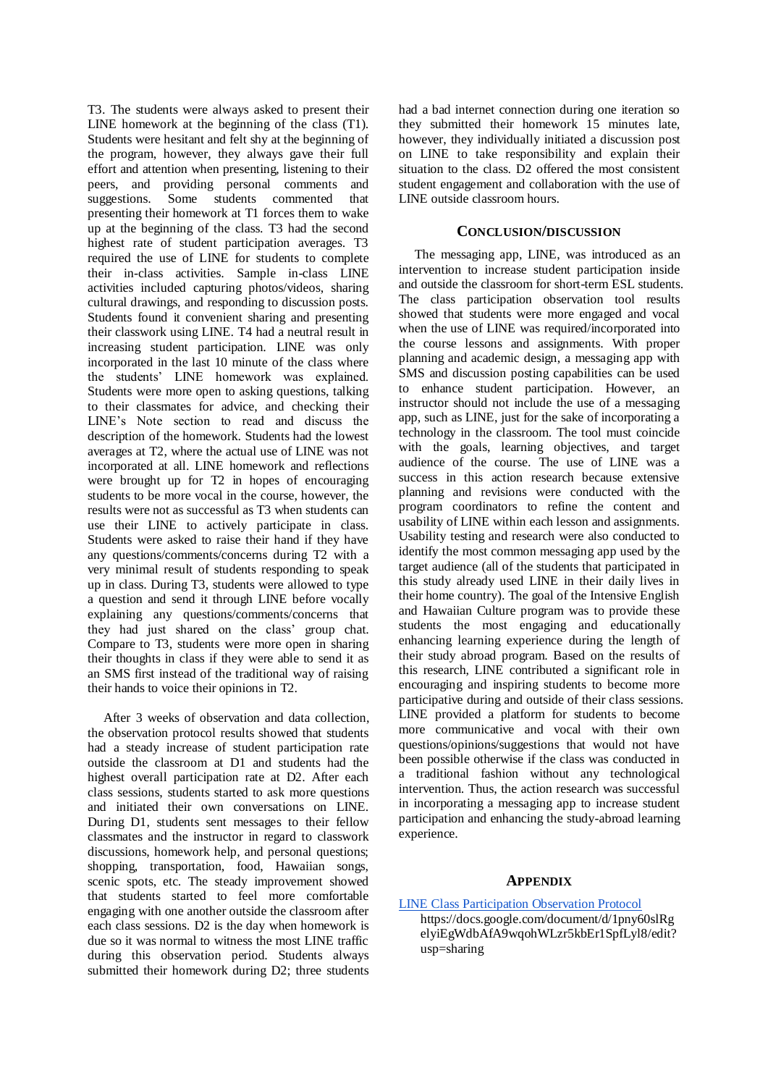T3. The students were always asked to present their LINE homework at the beginning of the class (T1). Students were hesitant and felt shy at the beginning of the program, however, they always gave their full effort and attention when presenting, listening to their peers, and providing personal comments and suggestions. Some students commented that presenting their homework at T1 forces them to wake up at the beginning of the class. T3 had the second highest rate of student participation averages. T3 required the use of LINE for students to complete their in-class activities. Sample in-class LINE activities included capturing photos/videos, sharing cultural drawings, and responding to discussion posts. Students found it convenient sharing and presenting their classwork using LINE. T4 had a neutral result in increasing student participation. LINE was only incorporated in the last 10 minute of the class where the students' LINE homework was explained. Students were more open to asking questions, talking to their classmates for advice, and checking their LINE's Note section to read and discuss the description of the homework. Students had the lowest averages at T2, where the actual use of LINE was not incorporated at all. LINE homework and reflections were brought up for T2 in hopes of encouraging students to be more vocal in the course, however, the results were not as successful as T3 when students can use their LINE to actively participate in class. Students were asked to raise their hand if they have any questions/comments/concerns during T2 with a very minimal result of students responding to speak up in class. During T3, students were allowed to type a question and send it through LINE before vocally explaining any questions/comments/concerns that they had just shared on the class' group chat. Compare to T3, students were more open in sharing their thoughts in class if they were able to send it as an SMS first instead of the traditional way of raising their hands to voice their opinions in T2.

After 3 weeks of observation and data collection, the observation protocol results showed that students had a steady increase of student participation rate outside the classroom at D1 and students had the highest overall participation rate at D2. After each class sessions, students started to ask more questions and initiated their own conversations on LINE. During D1, students sent messages to their fellow classmates and the instructor in regard to classwork discussions, homework help, and personal questions; shopping, transportation, food, Hawaiian songs, scenic spots, etc. The steady improvement showed that students started to feel more comfortable engaging with one another outside the classroom after each class sessions. D2 is the day when homework is due so it was normal to witness the most LINE traffic during this observation period. Students always submitted their homework during D2; three students

had a bad internet connection during one iteration so they submitted their homework 15 minutes late, however, they individually initiated a discussion post on LINE to take responsibility and explain their situation to the class. D2 offered the most consistent student engagement and collaboration with the use of LINE outside classroom hours.

## **CONCLUSION/DISCUSSION**

The messaging app, LINE, was introduced as an intervention to increase student participation inside and outside the classroom for short-term ESL students. The class participation observation tool results showed that students were more engaged and vocal when the use of LINE was required/incorporated into the course lessons and assignments. With proper planning and academic design, a messaging app with SMS and discussion posting capabilities can be used to enhance student participation. However, an instructor should not include the use of a messaging app, such as LINE, just for the sake of incorporating a technology in the classroom. The tool must coincide with the goals, learning objectives, and target audience of the course. The use of LINE was a success in this action research because extensive planning and revisions were conducted with the program coordinators to refine the content and usability of LINE within each lesson and assignments. Usability testing and research were also conducted to identify the most common messaging app used by the target audience (all of the students that participated in this study already used LINE in their daily lives in their home country). The goal of the Intensive English and Hawaiian Culture program was to provide these students the most engaging and educationally enhancing learning experience during the length of their study abroad program. Based on the results of this research, LINE contributed a significant role in encouraging and inspiring students to become more participative during and outside of their class sessions. LINE provided a platform for students to become more communicative and vocal with their own questions/opinions/suggestions that would not have been possible otherwise if the class was conducted in a traditional fashion without any technological intervention. Thus, the action research was successful in incorporating a messaging app to increase student participation and enhancing the study-abroad learning experience.

# **APPENDIX**

- [LINE Class Participation Observation Protocol](https://docs.google.com/document/d/1pny60slRgelyiEgWdbAfA9wqohWLzr5kbEr1SpfLyl8/edit?usp=sharing) 
	- https://docs.google.com/document/d/1pny60slRg elyiEgWdbAfA9wqohWLzr5kbEr1SpfLyl8/edit? usp=sharing